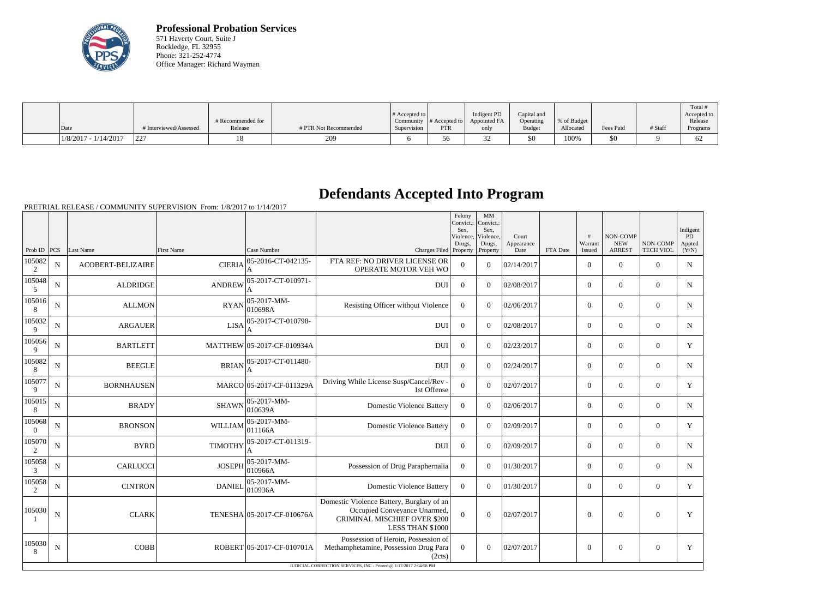

**Professional Probation Services** 571 Haverty Court, Suite J Rockledge, FL 32955 Phone: 321-252-4774 Office Manager: Richard Wayman

| Date                 | # Interviewed/Assessed | # Recommended for<br>Release | # PTR Not Recommended | # Accepted to<br>Supervision | Community $\#$ Accepted to<br>PTR | Indigent PD<br>Appointed FA<br>only | Capital and<br>Operating<br><b>Budget</b> | % of Budget<br>Allocated | Fees Paid | # Staff | Total<br>Accepted to<br>Release<br>Programs |
|----------------------|------------------------|------------------------------|-----------------------|------------------------------|-----------------------------------|-------------------------------------|-------------------------------------------|--------------------------|-----------|---------|---------------------------------------------|
|                      |                        |                              |                       |                              |                                   |                                     |                                           |                          |           |         |                                             |
| 1/8/2017 - 1/14/2017 | ירר!                   |                              | 209                   |                              |                                   | ے ر                                 | \$0                                       | 100%                     | \$0       |         | 62                                          |

## **Defendants Accepted Into Program**

|                          |             |                          |                   |                                |                                                                                                                                      | Felony<br>Convict.:<br>Sex.<br>Violence, | MM<br>Convict.:<br>Sex.<br>Violence, | Court              |          | #                 | NON-COMP                    |                              | Indigent<br>PD  |
|--------------------------|-------------|--------------------------|-------------------|--------------------------------|--------------------------------------------------------------------------------------------------------------------------------------|------------------------------------------|--------------------------------------|--------------------|----------|-------------------|-----------------------------|------------------------------|-----------------|
| Prob ID $ PCS $          |             | Last Name                | <b>First Name</b> | Case Number                    | Charges Filed Property                                                                                                               | Drugs,                                   | Drugs,<br>Property                   | Appearance<br>Date | FTA Date | Warrant<br>Issued | <b>NEW</b><br><b>ARREST</b> | NON-COMP<br><b>TECH VIOL</b> | Appted<br>(Y/N) |
| 105082<br>2              | N           | <b>ACOBERT-BELIZAIRE</b> | <b>CIERIA</b>     | 05-2016-CT-042135-<br>A        | FTA REF: NO DRIVER LICENSE OR<br>OPERATE MOTOR VEH WO                                                                                | $\overline{0}$                           | $\Omega$                             | 02/14/2017         |          | $\overline{0}$    | $\theta$                    | $\Omega$                     | $\mathbf N$     |
| 105048<br>5              | N           | <b>ALDRIDGE</b>          | <b>ANDREW</b>     | 05-2017-CT-010971-<br>A        | <b>DUI</b>                                                                                                                           | $\overline{0}$                           | $\Omega$                             | 02/08/2017         |          | $\overline{0}$    | $\mathbf{0}$                | $\mathbf{0}$                 | N               |
| 105016<br>8              | N           | <b>ALLMON</b>            | <b>RYAN</b>       | 05-2017-MM-<br>010698A         | Resisting Officer without Violence                                                                                                   | $\boldsymbol{0}$                         | $\Omega$                             | 02/06/2017         |          | $\Omega$          | $\theta$                    | $\Omega$                     | N               |
| 105032<br>9              | $\mathbf N$ | <b>ARGAUER</b>           | <b>LISA</b>       | 05-2017-CT-010798-             | <b>DUI</b>                                                                                                                           | $\Omega$                                 | $\Omega$                             | 02/08/2017         |          | $\overline{0}$    | $\mathbf{0}$                | $\overline{0}$               | N               |
| 105056<br>9              | $\mathbf N$ | <b>BARTLETT</b>          |                   | MATTHEW 05-2017-CF-010934A     | <b>DUI</b>                                                                                                                           | $\mathbf{0}$                             | $\Omega$                             | 02/23/2017         |          | $\overline{0}$    | $\mathbf{0}$                | $\overline{0}$               | Y               |
| 105082<br>8              | $\mathbf N$ | <b>BEEGLE</b>            | <b>BRIAN</b>      | 05-2017-CT-011480-             | <b>DUI</b>                                                                                                                           | $\mathbf{0}$                             | $\Omega$                             | 02/24/2017         |          | $\overline{0}$    | $\mathbf{0}$                | $\overline{0}$               | $\mathbf N$     |
| 105077<br>9              | $\mathbf N$ | <b>BORNHAUSEN</b>        |                   | MARCO 05-2017-CF-011329A       | Driving While License Susp/Cancel/Rev -<br>1st Offense                                                                               | $\overline{0}$                           | $\Omega$                             | 02/07/2017         |          | $\overline{0}$    | $\theta$                    | $\overline{0}$               | Y               |
| 105015<br>8              | ${\bf N}$   | <b>BRADY</b>             | <b>SHAWN</b>      | $ 05 - 2017 - MM -$<br>010639A | <b>Domestic Violence Battery</b>                                                                                                     | $\overline{0}$                           | $\Omega$                             | 02/06/2017         |          | $\overline{0}$    | $\theta$                    | $\Omega$                     | $\mathbf N$     |
| 105068<br>$\overline{0}$ | $\mathbf N$ | <b>BRONSON</b>           | <b>WILLIAM</b>    | $ 05-2017-MM-$<br>011166A      | <b>Domestic Violence Battery</b>                                                                                                     | $\overline{0}$                           | $\Omega$                             | 02/09/2017         |          | $\overline{0}$    | $\theta$                    | $\overline{0}$               | Y               |
| 105070<br>2              | ${\bf N}$   | <b>BYRD</b>              | <b>TIMOTHY</b>    | 05-2017-CT-011319-<br>A        | <b>DUI</b>                                                                                                                           | $\mathbf{0}$                             | $\Omega$                             | 02/09/2017         |          | $\overline{0}$    | $\mathbf{0}$                | $\overline{0}$               | $\mathbf N$     |
| 105058<br>3              | $\mathbf N$ | <b>CARLUCCI</b>          | <b>JOSEPH</b>     | 05-2017-MM-<br>010966A         | Possession of Drug Paraphernalia                                                                                                     | $\overline{0}$                           | $\Omega$                             | 01/30/2017         |          | $\overline{0}$    | $\theta$                    | $\Omega$                     | $\mathbf N$     |
| 105058<br>2              | N           | <b>CINTRON</b>           | <b>DANIEL</b>     | $ 05-2017-MM-$<br>010936A      | <b>Domestic Violence Battery</b>                                                                                                     | $\overline{0}$                           | $\Omega$                             | 01/30/2017         |          | $\overline{0}$    | $\boldsymbol{0}$            | $\overline{0}$               | Y               |
| 105030                   | N           | <b>CLARK</b>             |                   | TENESHA 05-2017-CF-010676A     | Domestic Violence Battery, Burglary of an<br>Occupied Conveyance Unarmed,<br><b>CRIMINAL MISCHIEF OVER \$200</b><br>LESS THAN \$1000 | $\Omega$                                 | $\Omega$                             | 02/07/2017         |          | $\theta$          | $\theta$                    | $\overline{0}$               | Y               |
| 105030<br>8              | $\mathbf N$ | <b>COBB</b>              |                   | ROBERT 05-2017-CF-010701A      | Possession of Heroin, Possession of<br>Methamphetamine, Possession Drug Para<br>(2cts)                                               | $\Omega$                                 | $\theta$                             | 02/07/2017         |          | $\overline{0}$    | $\overline{0}$              | $\overline{0}$               | Y               |
|                          |             |                          |                   |                                | JUDICIAL CORRECTION SERVICES, INC - Printed @ 1/17/2017 2:04:58 PM                                                                   |                                          |                                      |                    |          |                   |                             |                              |                 |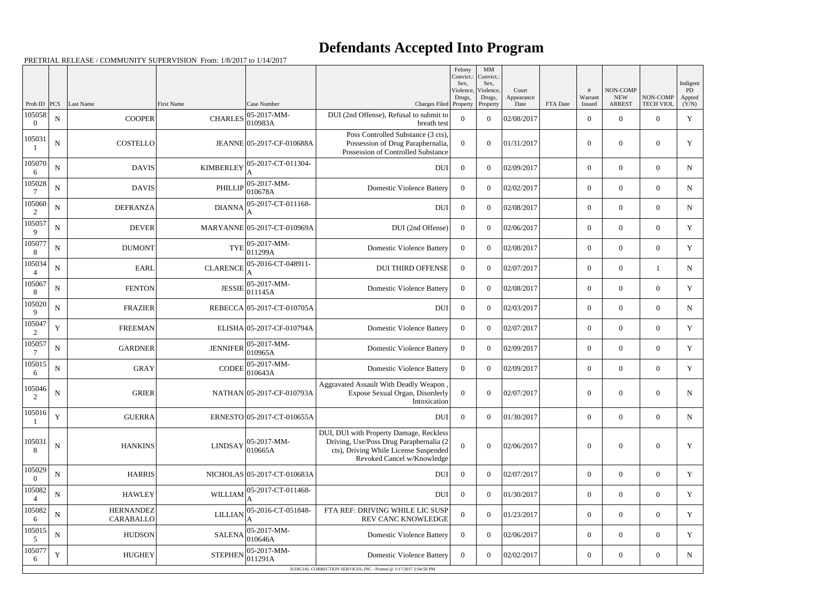## **Defendants Accepted Into Program**

|                          |             |                                      |                   |                             |                                                                                                                                                           | Felony<br>Convict.:<br>Sex, | MM<br>Convict.:<br>Sex, |                     |          |                  |                        |                  | Indigent     |
|--------------------------|-------------|--------------------------------------|-------------------|-----------------------------|-----------------------------------------------------------------------------------------------------------------------------------------------------------|-----------------------------|-------------------------|---------------------|----------|------------------|------------------------|------------------|--------------|
|                          |             |                                      |                   |                             |                                                                                                                                                           | Violence,<br>Drugs,         | Violence,<br>Drugs,     | Court<br>Appearance |          | Warrant          | NON-COMP<br><b>NEW</b> | NON-COMP         | PD<br>Appted |
| Prob ID<br>105058        | PCS         | Last Name                            | <b>First Name</b> | Case Number<br>05-2017-MM-  | Charges Filed Property<br>DUI (2nd Offense), Refusal to submit to                                                                                         |                             | Property                | Date                | FTA Date | Issued           | <b>ARREST</b>          | <b>TECH VIOL</b> | (Y/N)        |
| $\Omega$                 | ${\bf N}$   | <b>COOPER</b>                        | <b>CHARLES</b>    | 010983A                     | breath test                                                                                                                                               | $\overline{0}$              | $\overline{0}$          | 02/08/2017          |          | $\boldsymbol{0}$ | $\overline{0}$         | $\overline{0}$   | $\mathbf Y$  |
| 105031                   | $\mathbf N$ | <b>COSTELLO</b>                      |                   | JEANNE 05-2017-CF-010688A   | Poss Controlled Substance (3 cts),<br>Possession of Drug Paraphernalia,<br>Possession of Controlled Substance                                             | $\overline{0}$              | $\Omega$                | 01/31/2017          |          | $\theta$         | $\overline{0}$         | $\boldsymbol{0}$ | Y            |
| 105070<br>6              | $\mathbf N$ | <b>DAVIS</b>                         | <b>KIMBERLEY</b>  | 05-2017-CT-011304-          | <b>DUI</b>                                                                                                                                                | $\overline{0}$              | $\overline{0}$          | 02/09/2017          |          | $\boldsymbol{0}$ | $\overline{0}$         | $\overline{0}$   | $\mathbf N$  |
| 105028                   | $\mathbf N$ | <b>DAVIS</b>                         | PHILLIP           | $05-2017-MM$ -<br>010678A   | <b>Domestic Violence Battery</b>                                                                                                                          | $\overline{0}$              | $\overline{0}$          | 02/02/2017          |          | $\overline{0}$   | $\overline{0}$         | $\overline{0}$   | $\mathbf N$  |
| 105060<br>2              | $\mathbf N$ | <b>DEFRANZA</b>                      | <b>DIANNA</b>     | 05-2017-CT-011168-          | <b>DUI</b>                                                                                                                                                | $\overline{0}$              | $\theta$                | 02/08/2017          |          | $\boldsymbol{0}$ | $\overline{0}$         | $\overline{0}$   | $\mathbf N$  |
| 105057<br>9              | $\mathbf N$ | <b>DEVER</b>                         |                   | MARYANNE 05-2017-CT-010969A | DUI (2nd Offense)                                                                                                                                         | $\overline{0}$              | $\boldsymbol{0}$        | 02/06/2017          |          | $\overline{0}$   | $\overline{0}$         | $\overline{0}$   | Y            |
| 105077<br>8              | $\mathbf N$ | <b>DUMONT</b>                        | <b>TYE</b>        | 05-2017-MM-<br>011299A      | <b>Domestic Violence Battery</b>                                                                                                                          | $\overline{0}$              | $\overline{0}$          | 02/08/2017          |          | $\boldsymbol{0}$ | $\overline{0}$         | $\overline{0}$   | Y            |
| 105034                   | $\mathbf N$ | <b>EARL</b>                          | <b>CLARENCE</b>   | 05-2016-CT-048911-          | <b>DUI THIRD OFFENSE</b>                                                                                                                                  | $\overline{0}$              | $\overline{0}$          | 02/07/2017          |          | $\overline{0}$   | $\boldsymbol{0}$       |                  | $\mathbf N$  |
| 105067<br>8              | $\mathbf N$ | <b>FENTON</b>                        | <b>JESSIE</b>     | 05-2017-MM-<br>011145A      | <b>Domestic Violence Battery</b>                                                                                                                          | $\overline{0}$              | $\theta$                | 02/08/2017          |          | $\boldsymbol{0}$ | $\overline{0}$         | $\overline{0}$   | Y            |
| 105020<br>9              | $\mathbf N$ | <b>FRAZIER</b>                       |                   | REBECCA 05-2017-CT-010705A  | <b>DUI</b>                                                                                                                                                | $\overline{0}$              | $\boldsymbol{0}$        | 02/03/2017          |          | $\overline{0}$   | $\overline{0}$         | $\overline{0}$   | $\mathbf N$  |
| 105047<br>2              | $\mathbf Y$ | <b>FREEMAN</b>                       |                   | ELISHA 05-2017-CF-010794A   | <b>Domestic Violence Battery</b>                                                                                                                          | $\overline{0}$              | $\overline{0}$          | 02/07/2017          |          | $\boldsymbol{0}$ | $\overline{0}$         | $\overline{0}$   | $\mathbf Y$  |
| 105057                   | $\mathbf N$ | <b>GARDNER</b>                       | <b>JENNIFER</b>   | 05-2017-MM-<br>010965A      | <b>Domestic Violence Battery</b>                                                                                                                          | $\overline{0}$              | $\overline{0}$          | 02/09/2017          |          | $\overline{0}$   | $\overline{0}$         | $\overline{0}$   | Y            |
| 105015<br>6              | $\mathbf N$ | <b>GRAY</b>                          | <b>CODEE</b>      | 05-2017-MM-<br>010643A      | <b>Domestic Violence Battery</b>                                                                                                                          | $\overline{0}$              | $\overline{0}$          | 02/09/2017          |          | $\boldsymbol{0}$ | $\overline{0}$         | $\overline{0}$   | Y            |
| 105046<br>$\gamma$       | $\mathbf N$ | <b>GRIER</b>                         |                   | NATHAN 05-2017-CF-010793A   | Aggravated Assault With Deadly Weapon<br>Expose Sexual Organ, Disorderly<br>Intoxication                                                                  | $\boldsymbol{0}$            | $\boldsymbol{0}$        | 02/07/2017          |          | $\boldsymbol{0}$ | $\overline{0}$         | $\overline{0}$   | N            |
| 105016                   | $\mathbf Y$ | <b>GUERRA</b>                        |                   | ERNESTO 05-2017-CT-010655A  | DUI                                                                                                                                                       | $\overline{0}$              | $\theta$                | 01/30/2017          |          | $\overline{0}$   | $\overline{0}$         | $\overline{0}$   | $\mathbf N$  |
| 105031<br>8              | ${\bf N}$   | <b>HANKINS</b>                       | <b>LINDSAY</b>    | $05-2017-MM$ -<br>010665A   | DUI, DUI with Property Damage, Reckless<br>Driving, Use/Poss Drug Paraphernalia (2<br>cts), Driving While License Suspended<br>Revoked Cancel w/Knowledge | $\overline{0}$              | $\theta$                | 02/06/2017          |          | $\overline{0}$   | $\overline{0}$         | $\overline{0}$   | Y            |
| 105029<br>$\overline{0}$ | ${\bf N}$   | <b>HARRIS</b>                        |                   | NICHOLAS 05-2017-CT-010683A | <b>DUI</b>                                                                                                                                                | $\overline{0}$              | $\theta$                | 02/07/2017          |          | $\overline{0}$   | $\overline{0}$         | $\overline{0}$   | $\mathbf Y$  |
| 105082<br>$\overline{4}$ | ${\bf N}$   | <b>HAWLEY</b>                        | WILLIAM           | 05-2017-CT-011468-          | <b>DUI</b>                                                                                                                                                | $\mathbf{0}$                | $\boldsymbol{0}$        | 01/30/2017          |          | $\overline{0}$   | $\overline{0}$         | $\overline{0}$   | $\mathbf Y$  |
| 105082<br>6              | ${\bf N}$   | <b>HERNANDEZ</b><br><b>CARABALLO</b> | <b>LILLIAN</b>    | 05-2016-CT-051848-          | FTA REF: DRIVING WHILE LIC SUSP<br>REV CANC KNOWLEDGE                                                                                                     | $\boldsymbol{0}$            | $\theta$                | 01/23/2017          |          | $\overline{0}$   | $\overline{0}$         | $\overline{0}$   | Y            |
| 105015<br>5              | ${\bf N}$   | <b>HUDSON</b>                        | <b>SALENA</b>     | 05-2017-MM-<br>010646A      | <b>Domestic Violence Battery</b>                                                                                                                          | $\overline{0}$              | $\theta$                | 02/06/2017          |          | $\overline{0}$   | $\overline{0}$         | $\overline{0}$   | Y            |
| 105077<br>6              | Y           | <b>HUGHEY</b>                        | <b>STEPHEN</b>    | 05-2017-MM-<br>011291A      | <b>Domestic Violence Battery</b>                                                                                                                          | $\overline{0}$              | $\overline{0}$          | 02/02/2017          |          | $\boldsymbol{0}$ | $\overline{0}$         | $\boldsymbol{0}$ | $\mathbf N$  |
|                          |             |                                      |                   |                             | JUDICIAL CORRECTION SERVICES, INC - Printed @ 1/17/2017 2:04:58 PM                                                                                        |                             |                         |                     |          |                  |                        |                  |              |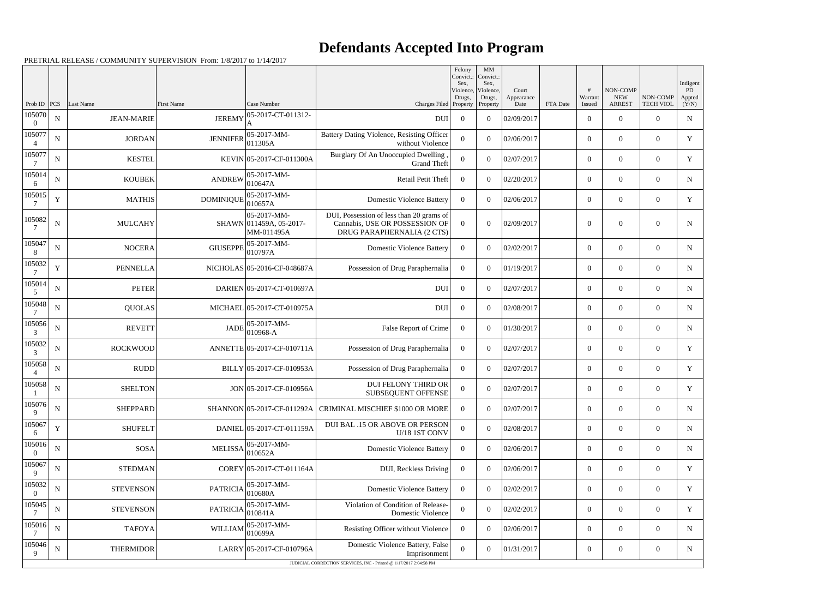## **Defendants Accepted Into Program**

|                          |                    |                                       |                                    |                                                      |                                                                                                          | Felony<br>Convict.:<br>Sex. | MM<br>Convict.:<br>Sex, |                     |          |                            |                                 |                              | Indigent             |
|--------------------------|--------------------|---------------------------------------|------------------------------------|------------------------------------------------------|----------------------------------------------------------------------------------------------------------|-----------------------------|-------------------------|---------------------|----------|----------------------------|---------------------------------|------------------------------|----------------------|
|                          |                    |                                       |                                    |                                                      |                                                                                                          | Violence,<br>Drugs,         | Violence,<br>Drugs,     | Court<br>Appearance |          | #<br>Warrant               | NON-COMP<br><b>NEW</b>          | NON-COMP                     | <b>PD</b><br>Appted  |
| Prob ID<br>105070        | PCS<br>$\mathbf N$ | <b>Last Name</b><br><b>JEAN-MARIE</b> | <b>First Name</b><br><b>JEREMY</b> | Case Number<br>05-2017-CT-011312-                    | Charges Filed Property<br>DUI                                                                            | $\overline{0}$              | Property<br>$\theta$    | Date<br>02/09/2017  | FTA Date | Issued<br>$\boldsymbol{0}$ | <b>ARREST</b><br>$\overline{0}$ | <b>TECH VIOL</b><br>$\Omega$ | (Y/N)<br>$\mathbf N$ |
| $\Omega$<br>105077       | $\mathbf N$        | <b>JORDAN</b>                         | <b>JENNIFER</b>                    | 05-2017-MM-                                          | Battery Dating Violence, Resisting Officer                                                               | $\Omega$                    | $\theta$                | 02/06/2017          |          | $\boldsymbol{0}$           | $\overline{0}$                  | $\overline{0}$               | Y                    |
| 105077                   |                    |                                       |                                    | 011305A                                              | without Violence<br>Burglary Of An Unoccupied Dwelling                                                   |                             |                         |                     |          |                            |                                 |                              |                      |
|                          | $\mathbf N$        | <b>KESTEL</b>                         |                                    | KEVIN 05-2017-CF-011300A                             | <b>Grand Theft</b>                                                                                       | $\Omega$                    | $\theta$                | 02/07/2017          |          | $\boldsymbol{0}$           | $\overline{0}$                  | $\overline{0}$               | $\mathbf Y$          |
| 105014<br>6              | $\mathbf N$        | <b>KOUBEK</b>                         | <b>ANDREW</b>                      | 05-2017-MM-<br>010647A                               | Retail Petit Theft                                                                                       | $\overline{0}$              | $\overline{0}$          | 02/20/2017          |          | $\overline{0}$             | $\overline{0}$                  | $\overline{0}$               | N                    |
| 105015                   | Y                  | <b>MATHIS</b>                         | <b>DOMINIQUE</b>                   | 05-2017-MM-<br>010657A                               | <b>Domestic Violence Battery</b>                                                                         | $\overline{0}$              | $\theta$                | 02/06/2017          |          | $\boldsymbol{0}$           | $\overline{0}$                  | $\Omega$                     | Y                    |
| 105082                   | $\mathbf N$        | <b>MULCAHY</b>                        |                                    | 05-2017-MM-<br>SHAWN 011459A, 05-2017-<br>MM-011495A | DUI, Possession of less than 20 grams of<br>Cannabis, USE OR POSSESSION OF<br>DRUG PARAPHERNALIA (2 CTS) | $\overline{0}$              | $\overline{0}$          | 02/09/2017          |          | $\overline{0}$             | $\overline{0}$                  | $\theta$                     | N                    |
| 105047<br>8              | $\mathbf N$        | <b>NOCERA</b>                         | <b>GIUSEPPE</b>                    | 05-2017-MM-<br>010797A                               | <b>Domestic Violence Battery</b>                                                                         | $\overline{0}$              | $\theta$                | 02/02/2017          |          | $\mathbf{0}$               | $\overline{0}$                  | $\overline{0}$               | $\mathbf N$          |
| 105032                   | Y                  | <b>PENNELLA</b>                       |                                    | NICHOLAS 05-2016-CF-048687A                          | Possession of Drug Paraphernalia                                                                         | $\overline{0}$              | $\overline{0}$          | 01/19/2017          |          | $\overline{0}$             | $\overline{0}$                  | $\theta$                     | N                    |
| 105014<br>5              | $\mathbf N$        | <b>PETER</b>                          |                                    | DARIEN 05-2017-CT-010697A                            | DUI                                                                                                      | $\overline{0}$              | $\theta$                | 02/07/2017          |          | $\mathbf{0}$               | $\overline{0}$                  | $\overline{0}$               | N                    |
| 105048                   | $\mathbf N$        | <b>QUOLAS</b>                         |                                    | MICHAEL 05-2017-CT-010975A                           | <b>DUI</b>                                                                                               | $\overline{0}$              | $\theta$                | 02/08/2017          |          | $\mathbf{0}$               | $\overline{0}$                  | $\Omega$                     | N                    |
| 105056<br>3              | $\mathbf N$        | <b>REVETT</b>                         | <b>JADE</b>                        | 05-2017-MM-<br>010968-A                              | False Report of Crime                                                                                    | $\overline{0}$              | $\theta$                | 01/30/2017          |          | $\mathbf{0}$               | $\overline{0}$                  | $\overline{0}$               | $\mathbf N$          |
| 105032<br>3              | $\mathbf N$        | <b>ROCKWOOD</b>                       |                                    | ANNETTE 05-2017-CF-010711A                           | Possession of Drug Paraphernalia                                                                         | $\overline{0}$              | $\overline{0}$          | 02/07/2017          |          | $\overline{0}$             | $\overline{0}$                  | $\theta$                     | Y                    |
| 105058                   | $\mathbf N$        | RUDD                                  |                                    | BILLY 05-2017-CF-010953A                             | Possession of Drug Paraphernalia                                                                         | $\overline{0}$              | $\theta$                | 02/07/2017          |          | $\overline{0}$             | $\overline{0}$                  | $\overline{0}$               | Y                    |
| 105058                   | N                  | <b>SHELTON</b>                        |                                    | JON 05-2017-CF-010956A                               | <b>DUI FELONY THIRD OR</b><br>SUBSEQUENT OFFENSE                                                         | $\overline{0}$              | $\theta$                | 02/07/2017          |          | $\overline{0}$             | $\overline{0}$                  | $\overline{0}$               | Y                    |
| 105076<br>9              | ${\bf N}$          | <b>SHEPPARD</b>                       |                                    | SHANNON 05-2017-CF-011292A                           | CRIMINAL MISCHIEF \$1000 OR MORE                                                                         | $\overline{0}$              | $\overline{0}$          | 02/07/2017          |          | $\boldsymbol{0}$           | $\overline{0}$                  | $\mathbf{0}$                 | N                    |
| 105067<br>6              | Y                  | <b>SHUFELT</b>                        |                                    | DANIEL 05-2017-CT-011159A                            | DUI BAL .15 OR ABOVE OR PERSON<br>U/18 1ST CONV                                                          | $\overline{0}$              | $\overline{0}$          | 02/08/2017          |          | $\boldsymbol{0}$           | $\overline{0}$                  | $\overline{0}$               | N                    |
| 105016<br>$\overline{0}$ | ${\bf N}$          | SOSA                                  | <b>MELISSA</b>                     | 05-2017-MM-<br>010652A                               | <b>Domestic Violence Battery</b>                                                                         | $\overline{0}$              | $\overline{0}$          | 02/06/2017          |          | $\boldsymbol{0}$           | $\overline{0}$                  | $\overline{0}$               | N                    |
| 105067<br>9              | ${\bf N}$          | <b>STEDMAN</b>                        |                                    | COREY 05-2017-CT-011164A                             | DUI, Reckless Driving                                                                                    | $\overline{0}$              | $\overline{0}$          | 02/06/2017          |          | $\mathbf{0}$               | $\overline{0}$                  | $\overline{0}$               | Y                    |
| 105032<br>$\Omega$       | $\mathbf N$        | <b>STEVENSON</b>                      | <b>PATRICIA</b>                    | 05-2017-MM-<br>010680A                               | <b>Domestic Violence Battery</b>                                                                         | $\overline{0}$              | $\overline{0}$          | 02/02/2017          |          | $\overline{0}$             | $\overline{0}$                  | $\overline{0}$               | Y                    |
| 105045                   | ${\bf N}$          | <b>STEVENSON</b>                      | <b>PATRICIA</b>                    | 05-2017-MM-<br>010841A                               | Violation of Condition of Release-<br>Domestic Violence                                                  | $\theta$                    | $\overline{0}$          | 02/02/2017          |          | $\boldsymbol{0}$           | $\overline{0}$                  | $\overline{0}$               | Y                    |
| 105016                   | ${\bf N}$          | <b>TAFOYA</b>                         | WILLIAM                            | 05-2017-MM-<br>010699A                               | Resisting Officer without Violence                                                                       | $\overline{0}$              | $\overline{0}$          | 02/06/2017          |          | $\boldsymbol{0}$           | $\overline{0}$                  | $\overline{0}$               | N                    |
| 105046<br>9              | $\mathbf N$        | <b>THERMIDOR</b>                      |                                    | LARRY 05-2017-CF-010796A                             | Domestic Violence Battery, False<br>Imprisonment                                                         | $\overline{0}$              | $\mathbf{0}$            | 01/31/2017          |          | $\boldsymbol{0}$           | $\overline{0}$                  | $\overline{0}$               | N                    |
|                          |                    |                                       |                                    |                                                      | JUDICIAL CORRECTION SERVICES, INC - Printed @ 1/17/2017 2:04:58 PM                                       |                             |                         |                     |          |                            |                                 |                              |                      |